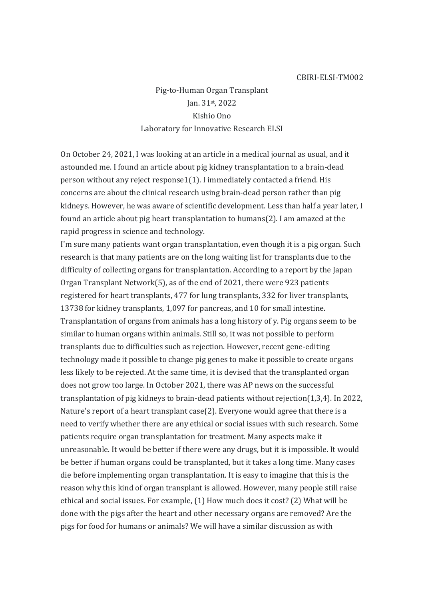## CBIRI-ELSI-TM002

Pig-to-Human Organ Transplant Jan. 31st, 2022 Kishio Ono Laboratory for Innovative Research ELSI

On October 24, 2021, I was looking at an article in a medical journal as usual, and it astounded me. I found an article about pig kidney transplantation to a brain-dead person without any reject response1(1). I immediately contacted a friend. His concerns are about the clinical research using brain-dead person rather than pig kidneys. However, he was aware of scientific development. Less than half a year later, I found an article about pig heart transplantation to humans(2). I am amazed at the rapid progress in science and technology.

I'm sure many patients want organ transplantation, even though it is a pig organ. Such research is that many patients are on the long waiting list for transplants due to the difficulty of collecting organs for transplantation. According to a report by the Japan Organ Transplant Network(5), as of the end of 2021, there were 923 patients registered for heart transplants, 477 for lung transplants, 332 for liver transplants, 13738 for kidney transplants, 1,097 for pancreas, and 10 for small intestine. Transplantation of organs from animals has a long history of y. Pig organs seem to be similar to human organs within animals. Still so, it was not possible to perform transplants due to difficulties such as rejection. However, recent gene-editing technology made it possible to change pig genes to make it possible to create organs less likely to be rejected. At the same time, it is devised that the transplanted organ does not grow too large. In October 2021, there was AP news on the successful transplantation of pig kidneys to brain-dead patients without rejection(1,3,4). In 2022, Nature's report of a heart transplant case(2). Everyone would agree that there is a need to verify whether there are any ethical or social issues with such research. Some patients require organ transplantation for treatment. Many aspects make it unreasonable. It would be better if there were any drugs, but it is impossible. It would be better if human organs could be transplanted, but it takes a long time. Many cases die before implementing organ transplantation. It is easy to imagine that this is the reason why this kind of organ transplant is allowed. However, many people still raise ethical and social issues. For example, (1) How much does it cost? (2) What will be done with the pigs after the heart and other necessary organs are removed? Are the pigs for food for humans or animals? We will have a similar discussion as with